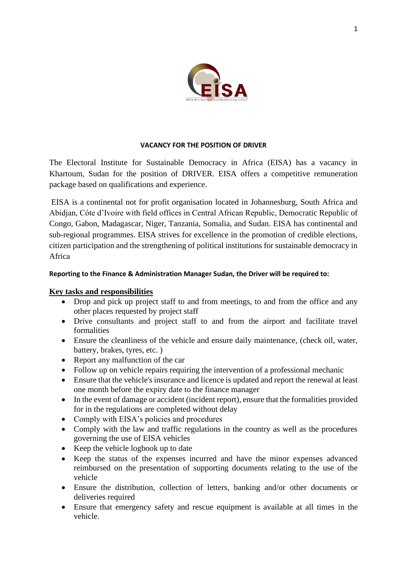

#### **VACANCY FOR THE POSITION OF DRIVER**

The Electoral Institute for Sustainable Democracy in Africa (EISA) has a vacancy in Khartoum, Sudan for the position of DRIVER. EISA offers a competitive remuneration package based on qualifications and experience.

EISA is a continental not for profit organisation located in Johannesburg, South Africa and Abidjan, Cóte d'Ivoire with field offices in Central African Republic, Democratic Republic of Congo, Gabon, Madagascar, Niger, Tanzania, Somalia, and Sudan. EISA has continental and sub-regional programmes. EISA strives for excellence in the promotion of credible elections, citizen participation and the strengthening of political institutions for sustainable democracy in Africa

#### **Reporting to the Finance & Administration Manager Sudan, the Driver will be required to:**

#### **Key tasks and responsibilities**

- Drop and pick up project staff to and from meetings, to and from the office and any other places requested by project staff
- Drive consultants and project staff to and from the airport and facilitate travel formalities
- Ensure the cleanliness of the vehicle and ensure daily maintenance, (check oil, water, battery, brakes, tyres, etc. )
- Report any malfunction of the car
- Follow up on vehicle repairs requiring the intervention of a professional mechanic
- Ensure that the vehicle's insurance and licence is updated and report the renewal at least one month before the expiry date to the finance manager
- In the event of damage or accident (incident report), ensure that the formalities provided for in the regulations are completed without delay
- Comply with EISA's policies and procedures
- Comply with the law and traffic regulations in the country as well as the procedures governing the use of EISA vehicles
- Keep the vehicle logbook up to date
- Keep the status of the expenses incurred and have the minor expenses advanced reimbursed on the presentation of supporting documents relating to the use of the vehicle
- Ensure the distribution, collection of letters, banking and/or other documents or deliveries required
- Ensure that emergency safety and rescue equipment is available at all times in the vehicle.